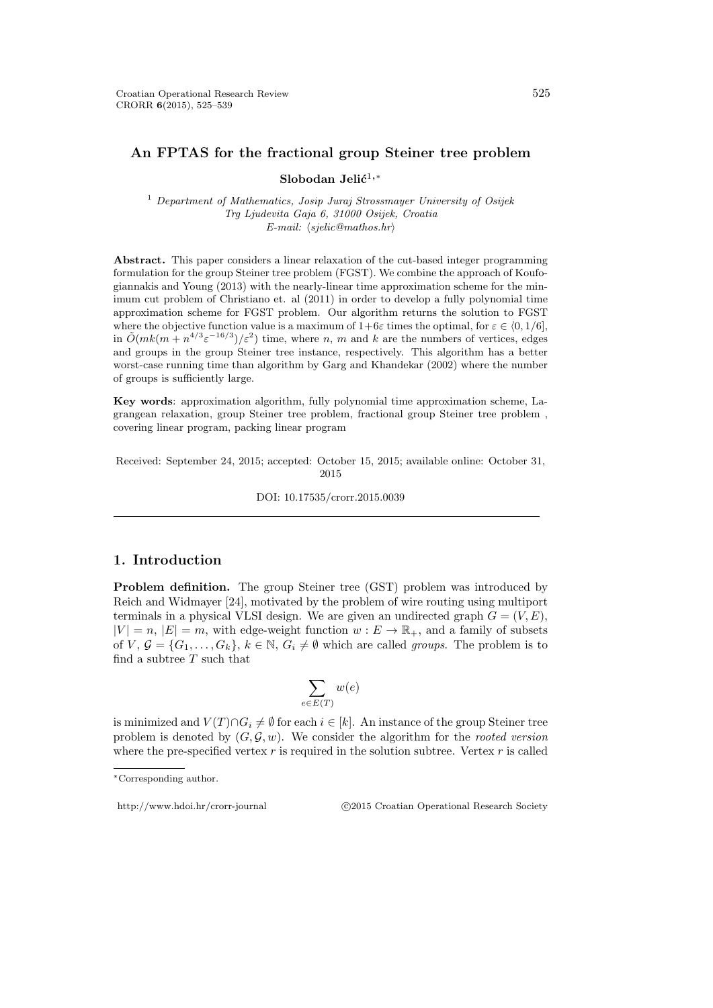# **An FPTAS for the fractional group Steiner tree problem**

Slobodan Jelić<sup>1,\*</sup>

<sup>1</sup> *Department of Mathematics, Josip Juraj Strossmayer University of Osijek Trg Ljudevita Gaja 6, 31000 Osijek, Croatia E-mail: ⟨sjelic@mathos.hr⟩*

**Abstract.** This paper considers a linear relaxation of the cut-based integer programming formulation for the group Steiner tree problem (FGST). We combine the approach of Koufogiannakis and Young (2013) with the nearly-linear time approximation scheme for the minimum cut problem of Christiano et. al (2011) in order to develop a fully polynomial time approximation scheme for FGST problem. Our algorithm returns the solution to FGST where the objective function value is a maximum of  $1+6\varepsilon$  times the optimal, for  $\varepsilon \in (0,1/6]$ , in  $\tilde{O}(mk(m+n^{4/3}\varepsilon^{-16/3})/\varepsilon^2)$  time, where *n*, *m* and *k* are the numbers of vertices, edges and groups in the group Steiner tree instance, respectively. This algorithm has a better worst-case running time than algorithm by Garg and Khandekar (2002) where the number of groups is sufficiently large.

**Key words**: approximation algorithm, fully polynomial time approximation scheme, Lagrangean relaxation, group Steiner tree problem, fractional group Steiner tree problem , covering linear program, packing linear program

Received: September 24, 2015; accepted: October 15, 2015; available online: October 31, 2015

DOI: 10.17535/crorr.2015.0039

# **1. Introduction**

**Problem definition.** The group Steiner tree (GST) problem was introduced by Reich and Widmayer [24], motivated by the problem of wire routing using multiport terminals in a physical VLSI design. We are given an undirected graph  $G = (V, E)$ ,  $|V| = n$ ,  $|E| = m$ , with edge-weight function  $w : E \to \mathbb{R}_+$ , and a family of subsets of  $V, \mathcal{G} = \{G_1, \ldots, G_k\}, k \in \mathbb{N}, G_i \neq \emptyset$  which are called *groups*. The problem is to find a subtree *T* such that

$$
\sum_{e \in E(T)} w(e)
$$

is minimized and  $V(T) \cap G_i \neq \emptyset$  for each  $i \in [k]$ . An instance of the group Steiner tree problem is denoted by  $(G, \mathcal{G}, w)$ . We consider the algorithm for the *rooted version* where the pre-specified vertex  $r$  is required in the solution subtree. Vertex  $r$  is called

http://www.hdoi.hr/crorr-journal *©*2015 Croatian Operational Research Society

*<sup>∗</sup>*Corresponding author.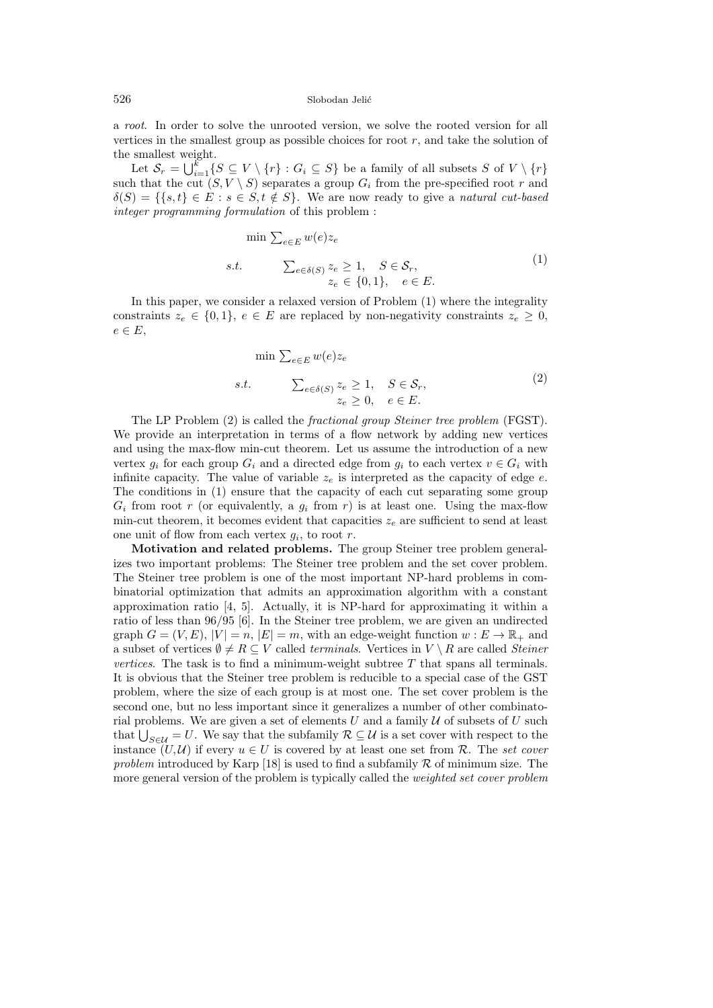526 Slobodan Jeli´c

a *root*. In order to solve the unrooted version, we solve the rooted version for all vertices in the smallest group as possible choices for root *r*, and take the solution of the smallest weight.

Let  $\mathcal{S}_r = \bigcup_{i=1}^k \{S \subseteq V \setminus \{r\} : G_i \subseteq S\}$  be a family of all subsets  $S$  of  $V \setminus \{r\}$ such that the cut  $(S, V \setminus S)$  separates a group  $G_i$  from the pre-specified root *r* and  $\delta(S) = \{ \{s, t\} \in E : s \in S, t \notin S \}.$  We are now ready to give a *natural cut-based integer programming formulation* of this problem :

$$
\min \sum_{e \in E} w(e) z_e
$$
\n
$$
s.t. \qquad \sum_{e \in \delta(S)} z_e \ge 1, \quad S \in \mathcal{S}_r,
$$
\n
$$
z_e \in \{0, 1\}, \quad e \in E.
$$
\n
$$
(1)
$$

In this paper, we consider a relaxed version of Problem (1) where the integrality constraints  $z_e \in \{0,1\}$ ,  $e \in E$  are replaced by non-negativity constraints  $z_e \geq 0$ , *e ∈ E*,

$$
\min \sum_{e \in E} w(e) z_e
$$
\n
$$
s.t. \qquad \sum_{e \in \delta(S)} z_e \ge 1, \quad S \in \mathcal{S}_r,
$$
\n
$$
z_e \ge 0, \quad e \in E.
$$
\n
$$
(2)
$$

The LP Problem (2) is called the *fractional group Steiner tree problem* (FGST). We provide an interpretation in terms of a flow network by adding new vertices and using the max-flow min-cut theorem. Let us assume the introduction of a new vertex  $g_i$  for each group  $G_i$  and a directed edge from  $g_i$  to each vertex  $v \in G_i$  with infinite capacity. The value of variable  $z_e$  is interpreted as the capacity of edge  $e$ . The conditions in (1) ensure that the capacity of each cut separating some group  $G_i$  from root *r* (or equivalently, a  $g_i$  from *r*) is at least one. Using the max-flow min-cut theorem, it becomes evident that capacities  $z_e$  are sufficient to send at least one unit of flow from each vertex *g<sup>i</sup>* , to root *r*.

**Motivation and related problems.** The group Steiner tree problem generalizes two important problems: The Steiner tree problem and the set cover problem. The Steiner tree problem is one of the most important NP-hard problems in combinatorial optimization that admits an approximation algorithm with a constant approximation ratio [4, 5]. Actually, it is NP-hard for approximating it within a ratio of less than 96*/*95 [6]. In the Steiner tree problem, we are given an undirected graph  $G = (V, E), |V| = n, |E| = m$ , with an edge-weight function  $w : E \to \mathbb{R}_+$  and a subset of vertices  $\emptyset \neq R \subseteq V$  called *terminals*. Vertices in  $V \setminus R$  are called *Steiner vertices*. The task is to find a minimum-weight subtree *T* that spans all terminals. It is obvious that the Steiner tree problem is reducible to a special case of the GST problem, where the size of each group is at most one. The set cover problem is the second one, but no less important since it generalizes a number of other combinatorial problems. We are given a set of elements  $U$  and a family  $U$  of subsets of  $U$  such that  $\bigcup_{S \in \mathcal{U}} = U$ . We say that the subfamily  $\mathcal{R} \subseteq \mathcal{U}$  is a set cover with respect to the instance  $(U, U)$  if every  $u \in U$  is covered by at least one set from  $\mathcal{R}$ . The *set cover problem* introduced by Karp [18] is used to find a subfamily *R* of minimum size. The more general version of the problem is typically called the *weighted set cover problem*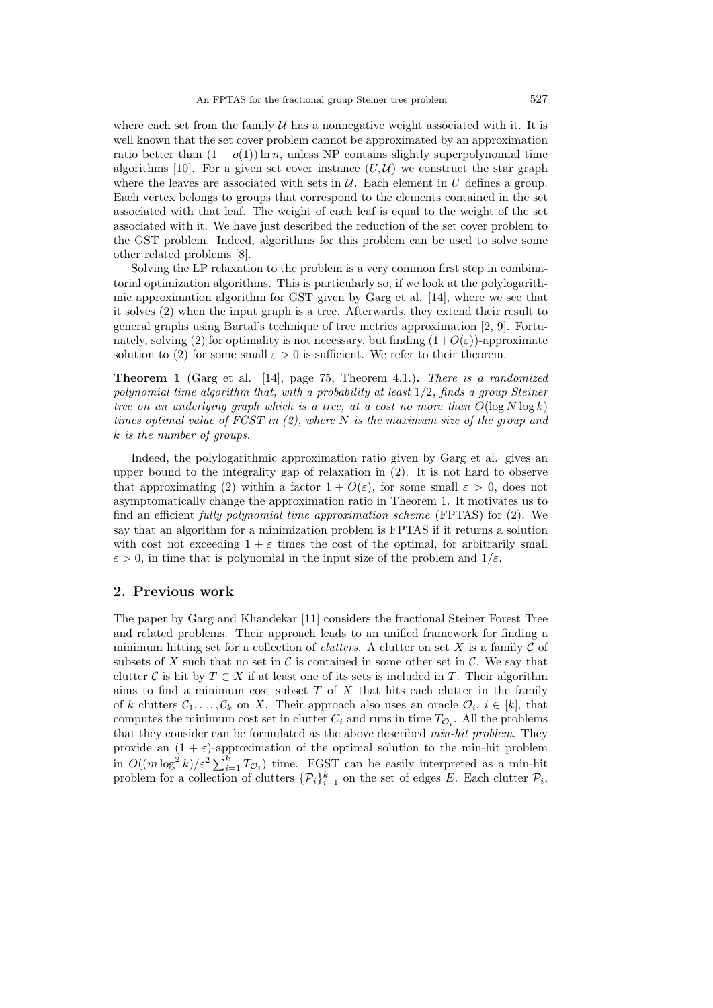where each set from the family  $U$  has a nonnegative weight associated with it. It is well known that the set cover problem cannot be approximated by an approximation ratio better than  $(1 - o(1)) \ln n$ , unless NP contains slightly superpolynomial time algorithms [10]. For a given set cover instance  $(U, \mathcal{U})$  we construct the star graph where the leaves are associated with sets in  $U$ . Each element in  $U$  defines a group. Each vertex belongs to groups that correspond to the elements contained in the set associated with that leaf. The weight of each leaf is equal to the weight of the set associated with it. We have just described the reduction of the set cover problem to the GST problem. Indeed, algorithms for this problem can be used to solve some other related problems [8].

Solving the LP relaxation to the problem is a very common first step in combinatorial optimization algorithms. This is particularly so, if we look at the polylogarithmic approximation algorithm for GST given by Garg et al. [14], where we see that it solves (2) when the input graph is a tree. Afterwards, they extend their result to general graphs using Bartal's technique of tree metrics approximation [2, 9]. Fortunately, solving (2) for optimality is not necessary, but finding  $(1+O(\varepsilon))$ -approximate solution to (2) for some small  $\varepsilon > 0$  is sufficient. We refer to their theorem.

**Theorem 1** (Garg et al. [14], page 75, Theorem 4.1.)**.** *There is a randomized polynomial time algorithm that, with a probability at least* 1*/*2*, finds a group Steiner tree on an underlying graph which is a tree, at a cost no more than*  $O(\log N \log k)$ *times optimal value of FGST in (2), where N is the maximum size of the group and k is the number of groups.*

Indeed, the polylogarithmic approximation ratio given by Garg et al. gives an upper bound to the integrality gap of relaxation in (2). It is not hard to observe that approximating (2) within a factor  $1 + O(\varepsilon)$ , for some small  $\varepsilon > 0$ , does not asymptomatically change the approximation ratio in Theorem 1. It motivates us to find an efficient *fully polynomial time approximation scheme* (FPTAS) for (2). We say that an algorithm for a minimization problem is FPTAS if it returns a solution with cost not exceeding  $1 + \varepsilon$  times the cost of the optimal, for arbitrarily small  $\varepsilon > 0$ , in time that is polynomial in the input size of the problem and  $1/\varepsilon$ .

# **2. Previous work**

The paper by Garg and Khandekar [11] considers the fractional Steiner Forest Tree and related problems. Their approach leads to an unified framework for finding a minimum hitting set for a collection of *clutters*. A clutter on set  $X$  is a family  $C$  of subsets of X such that no set in  $\mathcal C$  is contained in some other set in  $\mathcal C$ . We say that clutter  $C$  is hit by  $T \subset X$  if at least one of its sets is included in  $T$ . Their algorithm aims to find a minimum cost subset *T* of *X* that hits each clutter in the family of *k* clutters  $C_1, \ldots, C_k$  on *X*. Their approach also uses an oracle  $\mathcal{O}_i$ ,  $i \in [k]$ , that computes the minimum cost set in clutter  $C_i$  and runs in time  $T_{\mathcal{O}_i}$ . All the problems that they consider can be formulated as the above described *min-hit problem*. They provide an  $(1 + \varepsilon)$ -approximation of the optimal solution to the min-hit problem in  $O((m \log^2 k)/\varepsilon^2 \sum_{i=1}^k T_{\mathcal{O}_i})$  time. FGST can be easily interpreted as a min-hit problem for a collection of clutters  $\{\mathcal{P}_i\}_{i=1}^k$  on the set of edges *E*. Each clutter  $\mathcal{P}_i$ ,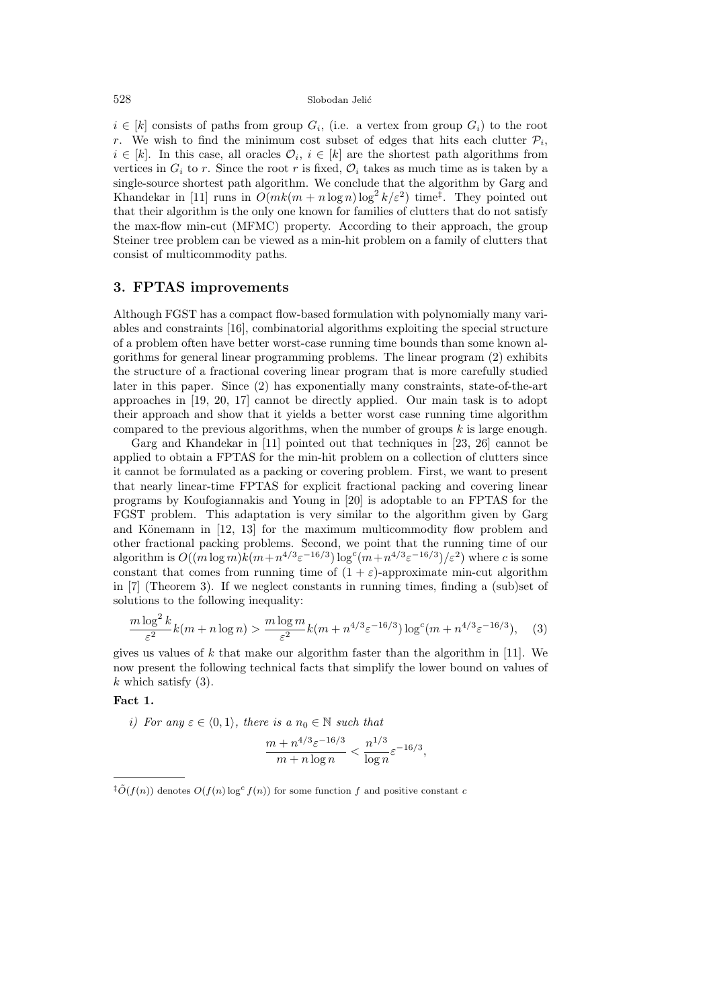$i \in [k]$  consists of paths from group  $G_i$ , (i.e. a vertex from group  $G_i$ ) to the root *r*. We wish to find the minimum cost subset of edges that hits each clutter  $P_i$ ,  $i \in [k]$ . In this case, all oracles  $\mathcal{O}_i$ ,  $i \in [k]$  are the shortest path algorithms from vertices in  $G_i$  to *r*. Since the root *r* is fixed,  $O_i$  takes as much time as is taken by a single-source shortest path algorithm. We conclude that the algorithm by Garg and Khandekar in [11] runs in  $O(mk(m + n \log n) \log^2 k/\varepsilon^2)$  time<sup> $\bar{i}$ </sup>. They pointed out that their algorithm is the only one known for families of clutters that do not satisfy the max-flow min-cut (MFMC) property. According to their approach, the group Steiner tree problem can be viewed as a min-hit problem on a family of clutters that consist of multicommodity paths.

## **3. FPTAS improvements**

Although FGST has a compact flow-based formulation with polynomially many variables and constraints [16], combinatorial algorithms exploiting the special structure of a problem often have better worst-case running time bounds than some known algorithms for general linear programming problems. The linear program (2) exhibits the structure of a fractional covering linear program that is more carefully studied later in this paper. Since (2) has exponentially many constraints, state-of-the-art approaches in [19, 20, 17] cannot be directly applied. Our main task is to adopt their approach and show that it yields a better worst case running time algorithm compared to the previous algorithms, when the number of groups *k* is large enough.

Garg and Khandekar in [11] pointed out that techniques in [23, 26] cannot be applied to obtain a FPTAS for the min-hit problem on a collection of clutters since it cannot be formulated as a packing or covering problem. First, we want to present that nearly linear-time FPTAS for explicit fractional packing and covering linear programs by Koufogiannakis and Young in [20] is adoptable to an FPTAS for the FGST problem. This adaptation is very similar to the algorithm given by Garg and Könemann in  $[12, 13]$  for the maximum multicommodity flow problem and other fractional packing problems. Second, we point that the running time of our  $\frac{\text{algorithm is } O((m \log m)k(m + n^{4/3}\varepsilon^{-16/3}) \log^c(m + n^{4/3}\varepsilon^{-16/3})}{\varepsilon^2}$  where *c* is some constant that comes from running time of  $(1 + \varepsilon)$ -approximate min-cut algorithm in [7] (Theorem 3). If we neglect constants in running times, finding a (sub)set of solutions to the following inequality:

$$
\frac{m\log^2 k}{\varepsilon^2} k(m+n\log n) > \frac{m\log m}{\varepsilon^2} k(m+n^{4/3}\varepsilon^{-16/3}) \log^c(m+n^{4/3}\varepsilon^{-16/3}), \quad (3)
$$

gives us values of *k* that make our algorithm faster than the algorithm in [11]. We now present the following technical facts that simplify the lower bound on values of *k* which satisfy (3).

#### **Fact 1.**

*i)* For any  $\varepsilon \in \langle 0, 1 \rangle$ , there is a  $n_0 \in \mathbb{N}$  such that

$$
\frac{m + n^{4/3} \varepsilon^{-16/3}}{m + n \log n} < \frac{n^{1/3}}{\log n} \varepsilon^{-16/3},
$$

<sup>&</sup>lt;sup>‡</sup> $O(f(n))$  denotes  $O(f(n) \log^c f(n))$  for some function *f* and positive constant *c*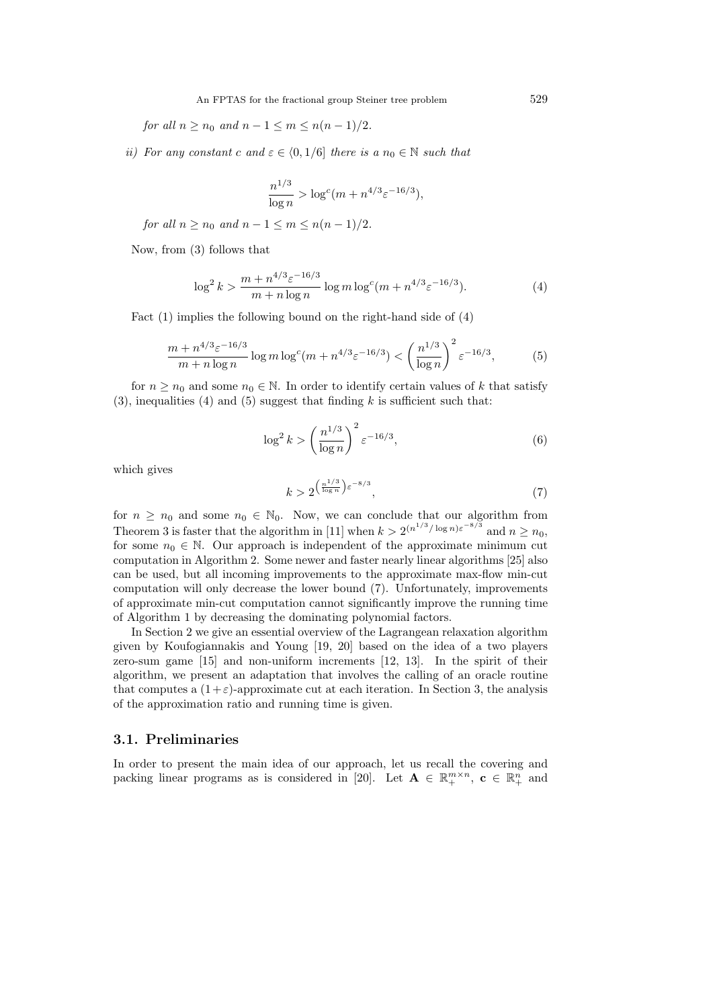*for all*  $n > n_0$  *and*  $n - 1 \le m \le n(n - 1)/2$ .

*ii)* For any constant *c* and  $\varepsilon \in (0, 1/6]$  there is a  $n_0 \in \mathbb{N}$  such that

$$
\frac{n^{1/3}}{\log n} > \log^c(m + n^{4/3} \varepsilon^{-16/3}),
$$

*for all*  $n \geq n_0$  *and*  $n - 1 \leq m \leq n(n - 1)/2$ .

Now, from (3) follows that

$$
\log^2 k > \frac{m + n^{4/3} \varepsilon^{-16/3}}{m + n \log n} \log m \log^c(m + n^{4/3} \varepsilon^{-16/3}).\tag{4}
$$

Fact (1) implies the following bound on the right-hand side of (4)

$$
\frac{m + n^{4/3} \varepsilon^{-16/3}}{m + n \log n} \log m \log^c(m + n^{4/3} \varepsilon^{-16/3}) < \left(\frac{n^{1/3}}{\log n}\right)^2 \varepsilon^{-16/3},\tag{5}
$$

for  $n \geq n_0$  and some  $n_0 \in \mathbb{N}$ . In order to identify certain values of k that satisfy (3), inequalities (4) and (5) suggest that finding *k* is sufficient such that:

$$
\log^2 k > \left(\frac{n^{1/3}}{\log n}\right)^2 \varepsilon^{-16/3},\tag{6}
$$

which gives

$$
k > 2^{\left(\frac{n^{1/3}}{\log n}\right)\varepsilon^{-8/3}},\tag{7}
$$

for  $n \geq n_0$  and some  $n_0 \in \mathbb{N}_0$ . Now, we can conclude that our algorithm from Theorem 3 is faster that the algorithm in [11] when  $k > 2^{(n^{1/3}/\log n)\varepsilon^{-8/3}}$  and  $n \ge n_0$ , for some  $n_0 \in \mathbb{N}$ . Our approach is independent of the approximate minimum cut computation in Algorithm 2. Some newer and faster nearly linear algorithms [25] also can be used, but all incoming improvements to the approximate max-flow min-cut computation will only decrease the lower bound (7). Unfortunately, improvements of approximate min-cut computation cannot significantly improve the running time of Algorithm 1 by decreasing the dominating polynomial factors.

In Section 2 we give an essential overview of the Lagrangean relaxation algorithm given by Koufogiannakis and Young [19, 20] based on the idea of a two players zero-sum game [15] and non-uniform increments [12, 13]. In the spirit of their algorithm, we present an adaptation that involves the calling of an oracle routine that computes a  $(1+\varepsilon)$ -approximate cut at each iteration. In Section 3, the analysis of the approximation ratio and running time is given.

# **3.1. Preliminaries**

In order to present the main idea of our approach, let us recall the covering and packing linear programs as is considered in [20]. Let  $\mathbf{A} \in \mathbb{R}_+^{m \times n}$ ,  $\mathbf{c} \in \mathbb{R}_+^n$  and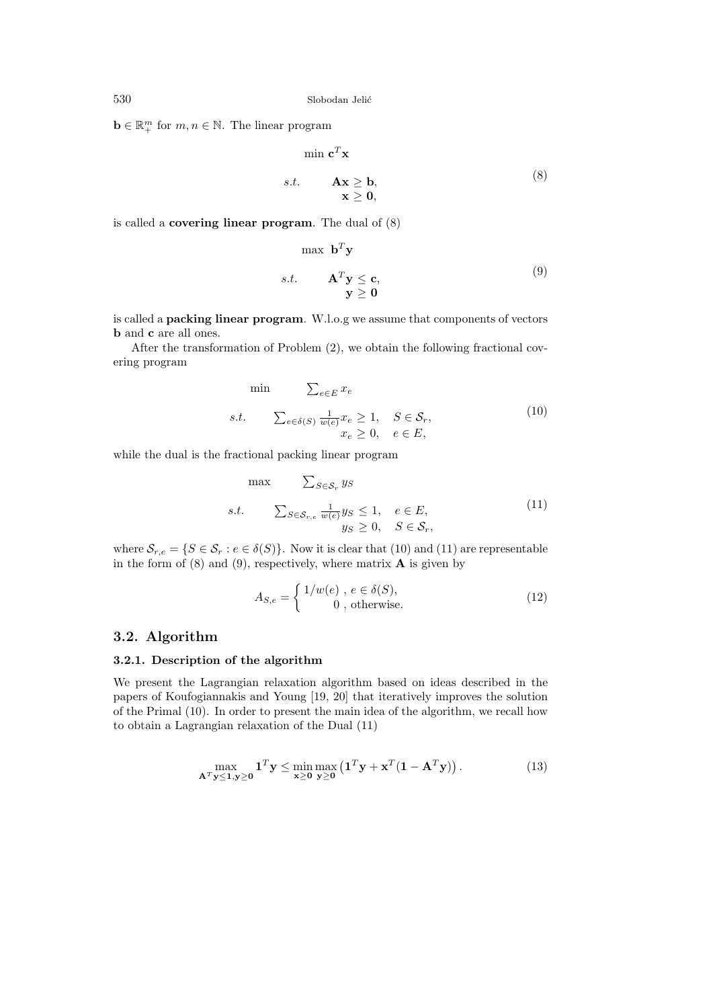$\mathbf{b} \in \mathbb{R}_+^m$  for  $m, n \in \mathbb{N}$ . The linear program

$$
\min \mathbf{c}^T \mathbf{x}
$$
  
s.t.  $\mathbf{A}\mathbf{x} \geq \mathbf{b},$   
 $\mathbf{x} \geq \mathbf{0},$  (8)

is called a **covering linear program**. The dual of (8)

$$
\begin{array}{ll}\n\max & \mathbf{b}^T \mathbf{y} \\
s.t. & \mathbf{A}^T \mathbf{y} \le \mathbf{c}, \\
& \mathbf{y} \ge \mathbf{0}\n\end{array} \tag{9}
$$

is called a **packing linear program**. W.l.o.g we assume that components of vectors **b** and **c** are all ones.

After the transformation of Problem (2), we obtain the following fractional covering program

$$
\min \qquad \sum_{e \in E} x_e
$$
\n
$$
s.t. \qquad \sum_{e \in \delta(S)} \frac{1}{w(e)} x_e \ge 1, \quad S \in \mathcal{S}_r,
$$
\n
$$
x_e \ge 0, \quad e \in E,
$$
\n
$$
(10)
$$

while the dual is the fractional packing linear program

$$
\max \sum_{S \in \mathcal{S}_r, v(S)} \sum_{S \in \mathcal{S}_{r,e}} \sum_{w(e)} y_S \le 1, \quad e \in E,
$$
\n
$$
y_S \ge 0, \quad S \in \mathcal{S}_r,
$$
\n
$$
(11)
$$

where  $S_{r,e} = \{ S \in S_r : e \in \delta(S) \}$ . Now it is clear that (10) and (11) are representable in the form of  $(8)$  and  $(9)$ , respectively, where matrix **A** is given by

$$
A_{S,e} = \begin{cases} 1/w(e), e \in \delta(S), \\ 0, \text{ otherwise.} \end{cases}
$$
 (12)

## **3.2. Algorithm**

## **3.2.1. Description of the algorithm**

We present the Lagrangian relaxation algorithm based on ideas described in the papers of Koufogiannakis and Young [19, 20] that iteratively improves the solution of the Primal (10). In order to present the main idea of the algorithm, we recall how to obtain a Lagrangian relaxation of the Dual (11)

$$
\max_{\mathbf{A}^T \mathbf{y} \le \mathbf{1}, \mathbf{y} \ge \mathbf{0}} \mathbf{1}^T \mathbf{y} \le \min_{\mathbf{x} \ge \mathbf{0}} \max_{\mathbf{y} \ge \mathbf{0}} (\mathbf{1}^T \mathbf{y} + \mathbf{x}^T (\mathbf{1} - \mathbf{A}^T \mathbf{y})).
$$
\n(13)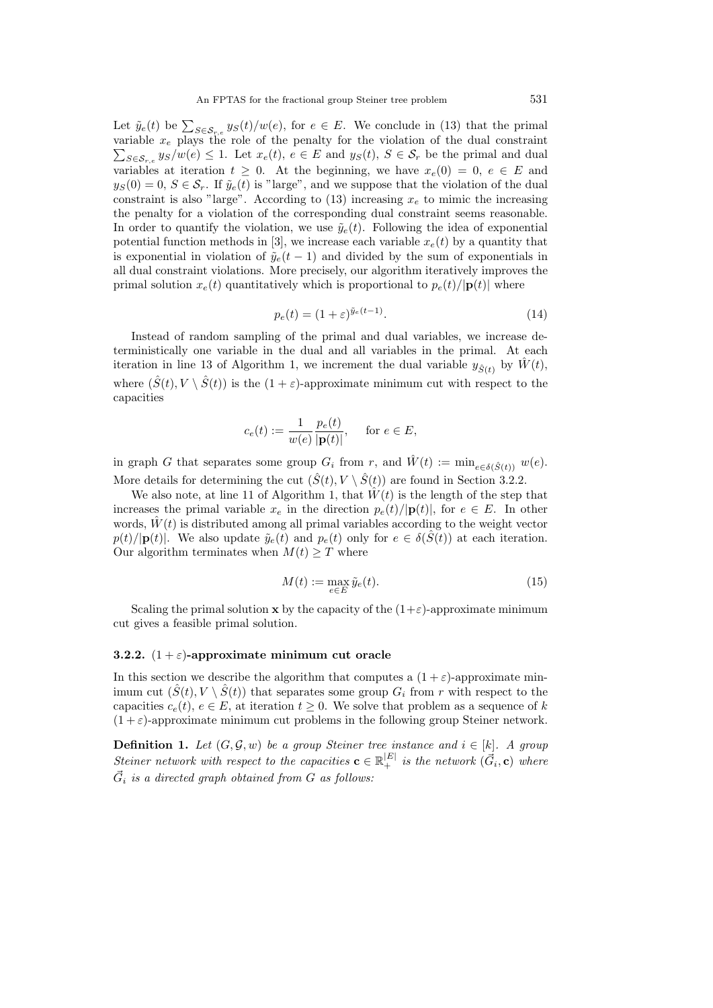Let  $\tilde{y}_e(t)$  be  $\sum_{S \in \mathcal{S}_r, e} y_S(t)/w(e)$ , for  $e \in E$ . We conclude in (13) that the primal variable *x<sup>e</sup>* plays the role of the penalty for the violation of the dual constraint  $\sum_{S \in \mathcal{S}_{r,e}} y_S/w(e) \leq 1$ . Let  $x_e(t)$ ,  $e \in E$  and  $y_S(t)$ ,  $S \in \mathcal{S}_r$  be the primal and dual variables at iteration  $t \geq 0$ . At the beginning, we have  $x_e(0) = 0$ ,  $e \in E$  and  $y_S(0) = 0, S \in S_r$ . If  $\tilde{y}_e(t)$  is "large", and we suppose that the violation of the dual constraint is also "large". According to  $(13)$  increasing  $x<sub>e</sub>$  to mimic the increasing the penalty for a violation of the corresponding dual constraint seems reasonable. In order to quantify the violation, we use  $\tilde{y}_e(t)$ . Following the idea of exponential potential function methods in [3], we increase each variable  $x_e(t)$  by a quantity that is exponential in violation of  $\tilde{y}_e(t-1)$  and divided by the sum of exponentials in all dual constraint violations. More precisely, our algorithm iteratively improves the primal solution  $x_e(t)$  quantitatively which is proportional to  $p_e(t)/|\mathbf{p}(t)|$  where

$$
p_e(t) = (1 + \varepsilon)^{\tilde{y}_e(t-1)}.
$$
\n(14)

Instead of random sampling of the primal and dual variables, we increase deterministically one variable in the dual and all variables in the primal. At each iteration in line 13 of Algorithm 1, we increment the dual variable  $y_{\hat{S}(t)}$  by  $\hat{W}(t)$ , where  $(\hat{S}(t), V \setminus \hat{S}(t))$  is the  $(1 + \varepsilon)$ -approximate minimum cut with respect to the capacities

$$
c_e(t) := \frac{1}{w(e)} \frac{p_e(t)}{|\mathbf{p}(t)|}, \quad \text{ for } e \in E,
$$

in graph *G* that separates some group  $G_i$  from  $r$ , and  $\hat{W}(t) := \min_{e \in \delta(\hat{S}(t))} w(e)$ . More details for determining the cut  $(\hat{S}(t), V \setminus \hat{S}(t))$  are found in Section 3.2.2.

We also note, at line 11 of Algorithm 1, that  $\hat{W}(t)$  is the length of the step that increases the primal variable  $x_e$  in the direction  $p_e(t)/|\mathbf{p}(t)|$ , for  $e \in E$ . In other words,  $\ddot{W}(t)$  is distributed among all primal variables according to the weight vector  $p(t)/|\mathbf{p}(t)|$ . We also update  $\tilde{y}_e(t)$  and  $p_e(t)$  only for  $e \in \delta(S(t))$  at each iteration. Our algorithm terminates when  $M(t) \geq T$  where

$$
M(t) := \max_{e \in E} \tilde{y}_e(t). \tag{15}
$$

Scaling the primal solution **x** by the capacity of the  $(1+\varepsilon)$ -approximate minimum cut gives a feasible primal solution.

#### **3.2.2.**  $(1+\varepsilon)$ -approximate minimum cut oracle

In this section we describe the algorithm that computes a  $(1 + \varepsilon)$ -approximate minimum cut  $(S(t), V \setminus S(t))$  that separates some group  $G_i$  from r with respect to the capacities  $c_e(t)$ ,  $e \in E$ , at iteration  $t \geq 0$ . We solve that problem as a sequence of *k*  $(1 + \varepsilon)$ -approximate minimum cut problems in the following group Steiner network.

**Definition 1.** *Let*  $(G, \mathcal{G}, w)$  *be a group Steiner tree instance and*  $i \in [k]$ *. A group Steiner network with respect to the capacities*  $\mathbf{c} \in \mathbb{R}_+^{|E|}$  *is the network*  $(\vec{G}_i, \mathbf{c})$  *where*  $\vec{G}_i$  *is a directed graph obtained from G as follows:*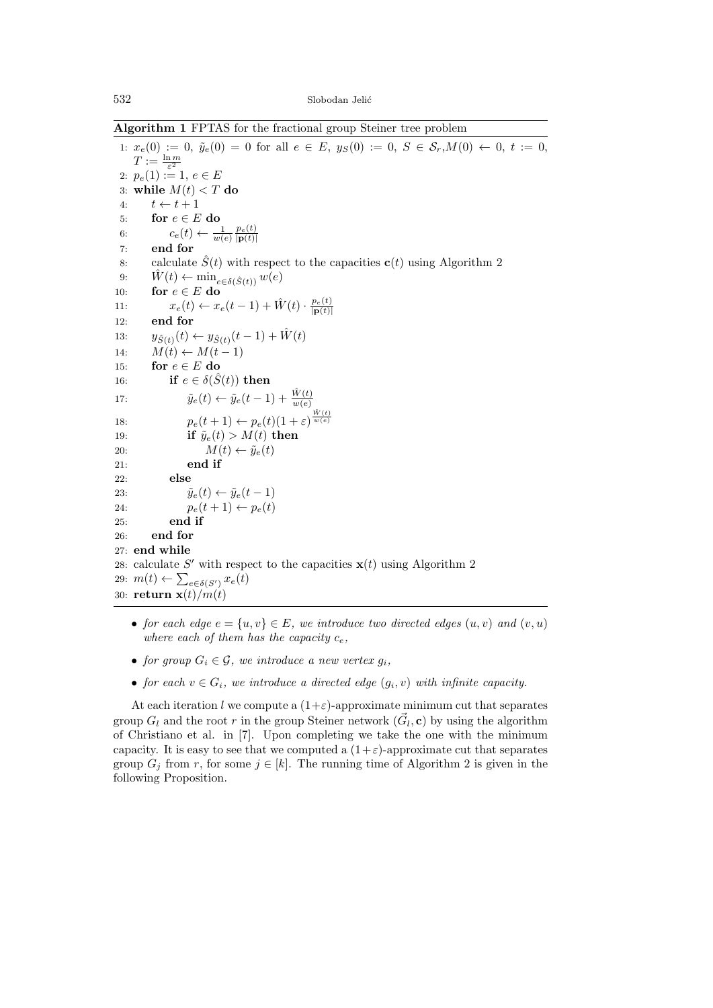**Algorithm 1** FPTAS for the fractional group Steiner tree problem

1:  $x_e(0) := 0$ ,  $\tilde{y}_e(0) = 0$  for all  $e \in E$ ,  $y_S(0) := 0$ ,  $S \in \mathcal{S}_r$ ,  $M(0) \leftarrow 0$ ,  $t := 0$ ,  $T := \frac{\ln m}{\varepsilon^2}$ 2:  $p_e(1) := 1, e \in E$ 3: while  $M(t) < T$  do 4:  $t \leftarrow t+1$ 5: **for**  $e \in E$  **do** 6:  $c_e(t) \leftarrow \frac{1}{w(e)} \frac{p_e(t)}{|\mathbf{p}(t)|}$ *|***p**(*t*)*|* 7: **end for** 8: calculate  $\hat{S}(t)$  with respect to the capacities  $\mathbf{c}(t)$  using Algorithm 2 9:  $W(t) \leftarrow \min_{e \in \delta(\hat{S}(t))} w(e)$ <br>10: **for**  $e \in E$  **do** for  $e \in E$  do 11:  $x_e(t) \leftarrow x_e(t-1) + \hat{W}(t) \cdot \frac{p_e(t)}{|\mathbf{p}(t)|}$ *|***p**(*t*)*|* 12: **end for** 13:  $y_{\hat{S}(t)}(t) \leftarrow y_{\hat{S}(t)}(t-1) + \hat{W}(t)$ 14:  $M(t) \leftarrow M(t-1)$ 15: **for**  $e \in E$  **do** 16: **if**  $e \in \delta(\hat{S}(t))$  **then** 17:  $\tilde{y}_e(t) \leftarrow \tilde{y}_e(t-1) + \frac{\hat{W}(t)}{w(e)}$ 18:  $p_e(t+1) \leftarrow p_e(t)(1+\varepsilon)^{\frac{\hat{W}(t)}{w(e)}}$ 19: **if**  $\tilde{y}_e(t) > M(t)$  **then** 20:  $M(t) \leftarrow \tilde{y}_e(t)$ 21: **end if** 22: **else** 23:  $\tilde{y}_e(t) \leftarrow \tilde{y}_e(t-1)$ 24:  $p_e(t+1) \leftarrow p_e(t)$ 25: **end if** 26: **end for** 27: **end while** 28: calculate *S ′* with respect to the capacities **x**(*t*) using Algorithm 2 29:  $m(t) \leftarrow \sum_{e \in \delta(S')} x_e(t)$ 30: **return x**(*t*)*/m*(*t*)

- *for each edge*  $e = \{u, v\} \in E$ *, we introduce two directed edges*  $(u, v)$  *and*  $(v, u)$ *where each of them has the capacity*  $c_e$ ,
- *for group*  $G_i \in \mathcal{G}$ *, we introduce a new vertex*  $g_i$ *,*
- *for each*  $v \in G_i$ , we introduce a directed edge  $(g_i, v)$  with infinite capacity.

At each iteration *l* we compute a  $(1+\varepsilon)$ -approximate minimum cut that separates group  $G_l$  and the root  $r$  in the group Steiner network  $(\vec{G}_l, \mathbf{c})$  by using the algorithm of Christiano et al. in [7]. Upon completing we take the one with the minimum capacity. It is easy to see that we computed a  $(1+\varepsilon)$ -approximate cut that separates group  $G_j$  from  $r$ , for some  $j \in [k]$ . The running time of Algorithm 2 is given in the following Proposition.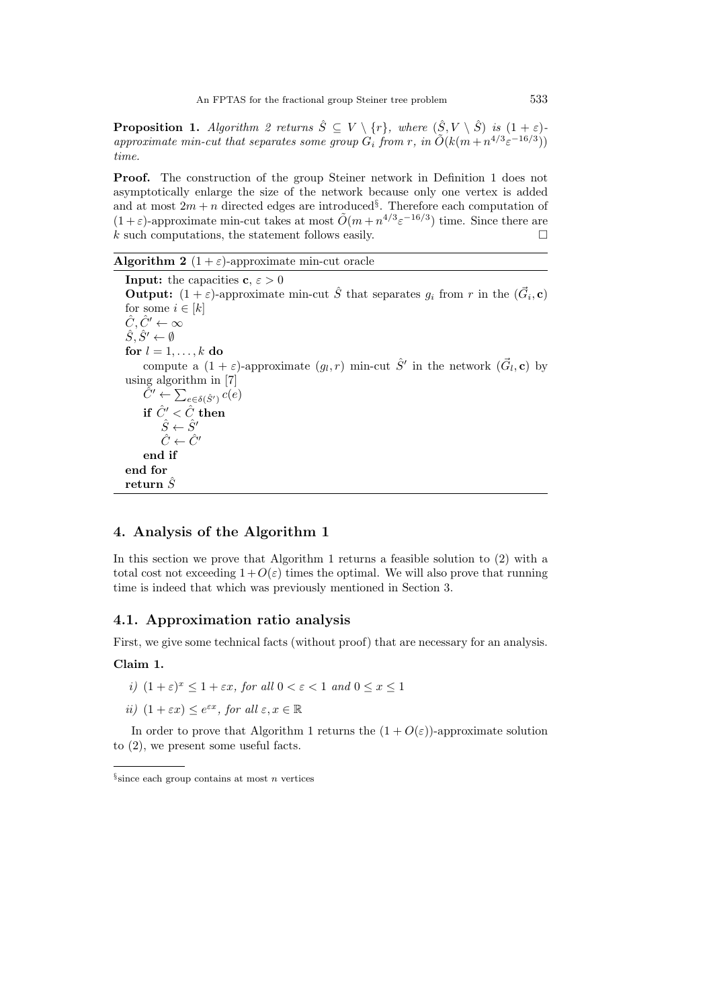**Proposition 1.** *Algorithm 2 returns*  $\hat{S} \subseteq V \setminus \{r\}$ *, where*  $(\hat{S}, V \setminus \hat{S})$  *is*  $(1 + \varepsilon)$ *approximate min-cut that separates some group*  $G_i$  from  $r$ *, in*  $\tilde{O}(k(m+n^{4/3}\varepsilon^{-16/3}))$ *time.*

**Proof.** The construction of the group Steiner network in Definition 1 does not asymptotically enlarge the size of the network because only one vertex is added and at most  $2m + n$  directed edges are introduced<sup>§</sup>. Therefore each computation of  $(1 + \varepsilon)$ -approximate min-cut takes at most  $\tilde{O}(m + n^{4/3}\varepsilon^{-16/3})$  time. Since there are  $k$  such computations, the statement follows easily.

#### **Algorithm 2**  $(1 + \varepsilon)$ -approximate min-cut oracle

**Input:** the capacities  $c, \varepsilon > 0$ **Output:**  $(1 + \varepsilon)$ -approximate min-cut  $\hat{S}$  that separates  $g_i$  from  $r$  in the  $(\vec{G}_i, \mathbf{c})$ for some  $i \in [k]$  $\hat{C}, \hat{C}' \leftarrow \infty$  $\hat{S}, \hat{S}' \leftarrow \emptyset$ for  $l = 1, \ldots, k$  do compute a  $(1 + \varepsilon)$ -approximate  $(g_l, r)$  min-cut  $\hat{S}'$  in the network  $(\vec{G}_l, \mathbf{c})$  by using algorithm in [7]  $\tilde{C}' \leftarrow \sum_{e \in \delta(\hat{S}')} c(e)$ **if**  $\hat{C}' < \hat{C}$  **then**  $\hat{S} \leftarrow \hat{S}'$  $\hat{C} \leftarrow \hat{C}'$ **end if end for return** *S*ˆ

# **4. Analysis of the Algorithm 1**

In this section we prove that Algorithm 1 returns a feasible solution to (2) with a total cost not exceeding  $1 + O(\varepsilon)$  times the optimal. We will also prove that running time is indeed that which was previously mentioned in Section 3.

#### **4.1. Approximation ratio analysis**

First, we give some technical facts (without proof) that are necessary for an analysis.

#### **Claim 1.**

- *i*)  $(1+\varepsilon)^x \leq 1 + \varepsilon x$ , for all  $0 < \varepsilon < 1$  and  $0 \leq x \leq 1$
- *ii*)  $(1 + \varepsilon x) \le e^{\varepsilon x}$ , for all  $\varepsilon, x \in \mathbb{R}$

In order to prove that Algorithm 1 returns the  $(1 + O(\varepsilon))$ -approximate solution to (2), we present some useful facts.

*<sup>§</sup>* since each group contains at most *n* vertices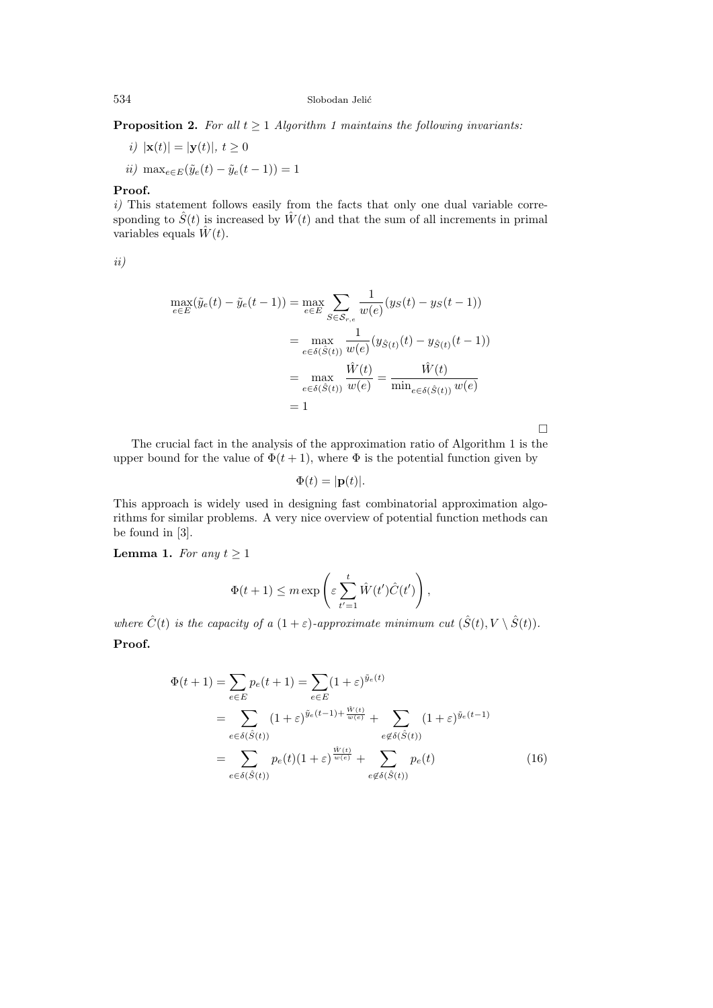534 Slobodan Jeli´c

**Proposition 2.** *For all t ≥* 1 *Algorithm 1 maintains the following invariants:*

- $i)$   $|\mathbf{x}(t)| = |\mathbf{y}(t)|, t \geq 0$
- *ii*) max<sub>*e*∈*E*</sub>( $\tilde{y}_e(t) \tilde{y}_e(t-1)) = 1$

## **Proof.**

*i*) This statement follows easily from the facts that only one dual variable corresponding to  $\hat{S}(t)$  is increased by  $\hat{W}(t)$  and that the sum of all increments in primal variables equals  $\hat{W}(t)$ .

*ii)*

$$
\max_{e \in E} (\tilde{y}_e(t) - \tilde{y}_e(t-1)) = \max_{e \in E} \sum_{S \in \mathcal{S}_{r,e}} \frac{1}{w(e)} (y_S(t) - y_S(t-1))
$$
  
= 
$$
\max_{e \in \delta(\hat{S}(t))} \frac{1}{w(e)} (y_{\hat{S}(t)}(t) - y_{\hat{S}(t)}(t-1))
$$
  
= 
$$
\max_{e \in \delta(\hat{S}(t))} \frac{\hat{W}(t)}{w(e)} = \frac{\hat{W}(t)}{\min_{e \in \delta(\hat{S}(t))} w(e)}
$$
  
= 1

The crucial fact in the analysis of the approximation ratio of Algorithm 1 is the upper bound for the value of  $\Phi(t+1)$ , where  $\Phi$  is the potential function given by

$$
\Phi(t) = |\mathbf{p}(t)|.
$$

This approach is widely used in designing fast combinatorial approximation algorithms for similar problems. A very nice overview of potential function methods can be found in [3].

**Lemma 1.** *For any*  $t \geq 1$ 

$$
\Phi(t+1) \leq m \exp\left(\varepsilon \sum_{t'=1}^t \hat{W}(t') \hat{C}(t')\right),\,
$$

*where*  $\hat{C}(t)$  *is the capacity of a*  $(1+\varepsilon)$ *-approximate minimum cut*  $(\hat{S}(t), V \setminus \hat{S}(t))$ *.* **Proof.**

$$
\Phi(t+1) = \sum_{e \in E} p_e(t+1) = \sum_{e \in E} (1+\varepsilon)^{\tilde{y}_e(t)}
$$
  
\n
$$
= \sum_{e \in \delta(\hat{S}(t))} (1+\varepsilon)^{\tilde{y}_e(t-1) + \frac{\hat{W}(t)}{w(e)}} + \sum_{e \notin \delta(\hat{S}(t))} (1+\varepsilon)^{\tilde{y}_e(t-1)}
$$
  
\n
$$
= \sum_{e \in \delta(\hat{S}(t))} p_e(t)(1+\varepsilon)^{\frac{\hat{W}(t)}{w(e)}} + \sum_{e \notin \delta(\hat{S}(t))} p_e(t)
$$
(16)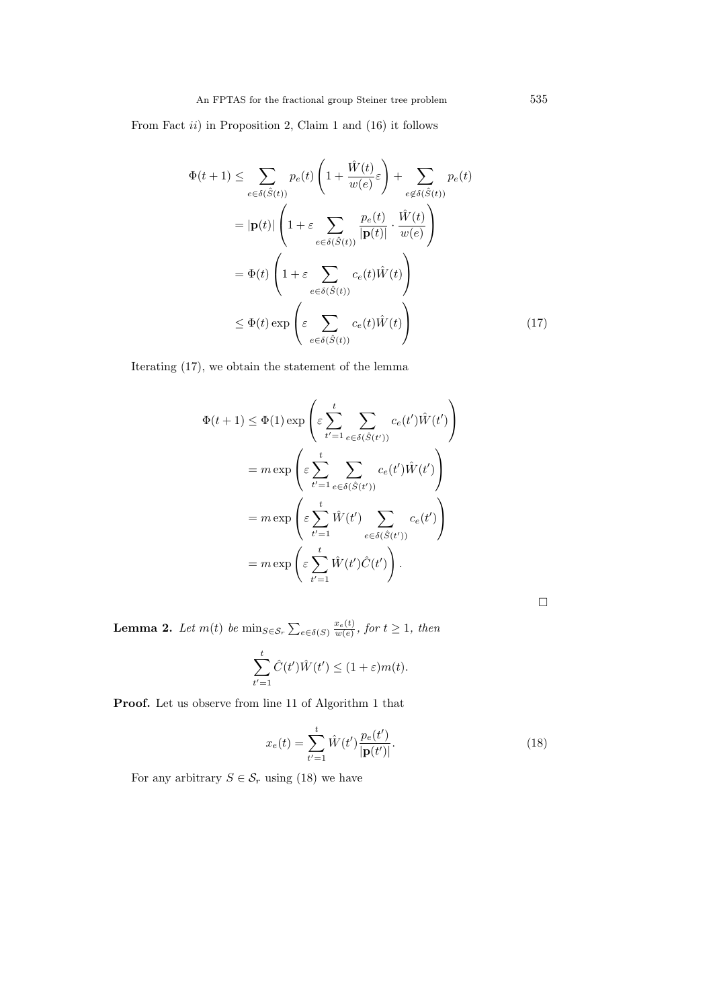From Fact *ii*) in Proposition 2, Claim 1 and (16) it follows

$$
\Phi(t+1) \leq \sum_{e \in \delta(\hat{S}(t))} p_e(t) \left( 1 + \frac{\hat{W}(t)}{w(e)} \varepsilon \right) + \sum_{e \notin \delta(\hat{S}(t))} p_e(t)
$$
\n
$$
= |\mathbf{p}(t)| \left( 1 + \varepsilon \sum_{e \in \delta(\hat{S}(t))} \frac{p_e(t)}{|\mathbf{p}(t)|} \cdot \frac{\hat{W}(t)}{w(e)} \right)
$$
\n
$$
= \Phi(t) \left( 1 + \varepsilon \sum_{e \in \delta(\hat{S}(t))} c_e(t) \hat{W}(t) \right)
$$
\n
$$
\leq \Phi(t) \exp \left( \varepsilon \sum_{e \in \delta(\hat{S}(t))} c_e(t) \hat{W}(t) \right) \tag{17}
$$

Iterating (17), we obtain the statement of the lemma

$$
\Phi(t+1) \leq \Phi(1) \exp\left(\varepsilon \sum_{t'=1}^t \sum_{e \in \delta(\hat{S}(t'))} c_e(t') \hat{W}(t')\right)
$$

$$
= m \exp\left(\varepsilon \sum_{t'=1}^t \sum_{e \in \delta(\hat{S}(t'))} c_e(t') \hat{W}(t')\right)
$$

$$
= m \exp\left(\varepsilon \sum_{t'=1}^t \hat{W}(t') \sum_{e \in \delta(\hat{S}(t'))} c_e(t')\right)
$$

$$
= m \exp\left(\varepsilon \sum_{t'=1}^t \hat{W}(t') \hat{C}(t')\right).
$$

 $\Box$ 

**Lemma 2.** *Let*  $m(t)$  *be*  $\min_{S \in \mathcal{S}_r} \sum_{e \in \delta(S)} \frac{x_e(t)}{w(e)}$ , for  $t \geq 1$ , then

$$
\sum_{t'=1}^{t} \hat{C}(t')\hat{W}(t') \le (1+\varepsilon)m(t).
$$

Proof. Let us observe from line 11 of Algorithm 1 that

$$
x_e(t) = \sum_{t'=1}^{t} \hat{W}(t') \frac{p_e(t')}{|\mathbf{p}(t')|}.
$$
 (18)

For any arbitrary  $S \in \mathcal{S}_r$  using (18) we have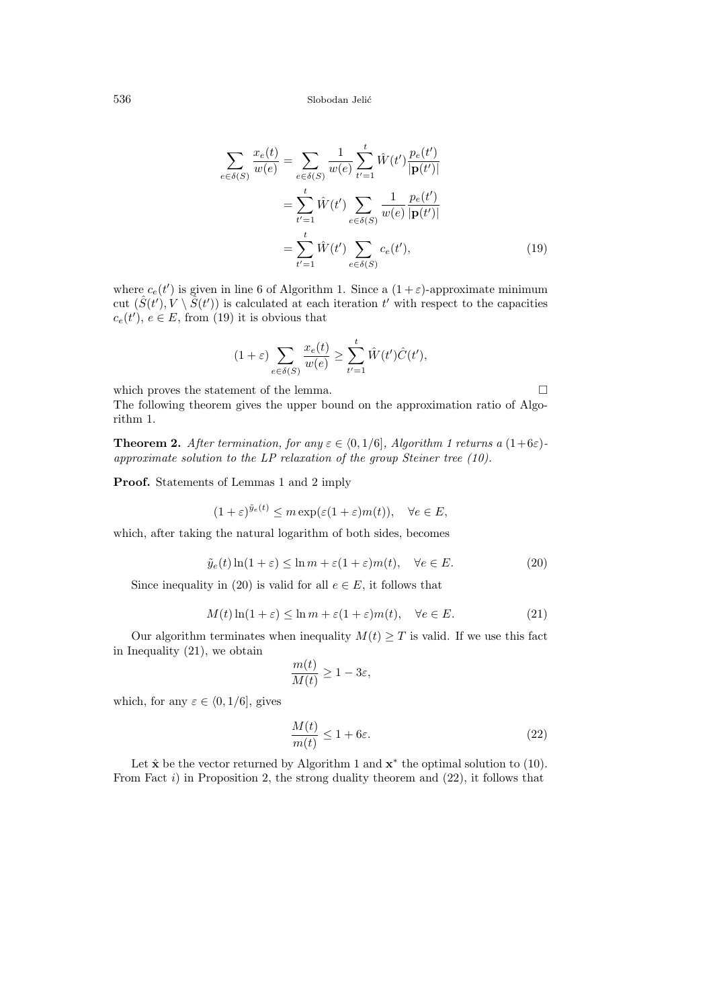$$
\sum_{e \in \delta(S)} \frac{x_e(t)}{w(e)} = \sum_{e \in \delta(S)} \frac{1}{w(e)} \sum_{t'=1}^t \hat{W}(t') \frac{p_e(t')}{|\mathbf{p}(t')|} \n= \sum_{t'=1}^t \hat{W}(t') \sum_{e \in \delta(S)} \frac{1}{w(e)} \frac{p_e(t')}{|\mathbf{p}(t')|} \n= \sum_{t'=1}^t \hat{W}(t') \sum_{e \in \delta(S)} c_e(t'),
$$
\n(19)

where  $c_e(t')$  is given in line 6 of Algorithm 1. Since a  $(1+\varepsilon)$ -approximate minimum cut  $(\hat{S}(t'), V \setminus \check{S}(t'))$  is calculated at each iteration  $t'$  with respect to the capacities  $c_e(t')$ ,  $e \in E$ , from (19) it is obvious that

$$
(1+\varepsilon)\sum_{e\in\delta(S)}\frac{x_e(t)}{w(e)}\geq \sum_{t'=1}^t \hat{W}(t')\hat{C}(t'),
$$

which proves the statement of the lemma.  $\hfill \Box$ 

The following theorem gives the upper bound on the approximation ratio of Algorithm 1.

**Theorem 2.** *After termination, for any*  $\varepsilon \in \langle 0, 1/6 \rangle$ *, Algorithm 1 returns a*  $(1+6\varepsilon)$ *approximate solution to the LP relaxation of the group Steiner tree (10).*

**Proof.** Statements of Lemmas 1 and 2 imply

$$
(1+\varepsilon)^{\tilde{y}_e(t)} \le m \exp(\varepsilon (1+\varepsilon)m(t)), \quad \forall e \in E,
$$

which, after taking the natural logarithm of both sides, becomes

$$
\tilde{y}_e(t)\ln(1+\varepsilon) \le \ln m + \varepsilon(1+\varepsilon)m(t), \quad \forall e \in E. \tag{20}
$$

Since inequality in (20) is valid for all  $e \in E$ , it follows that

$$
M(t)\ln(1+\varepsilon) \le \ln m + \varepsilon(1+\varepsilon)m(t), \quad \forall e \in E.
$$
 (21)

Our algorithm terminates when inequality  $M(t) \geq T$  is valid. If we use this fact in Inequality (21), we obtain

$$
\frac{m(t)}{M(t)} \ge 1 - 3\varepsilon,
$$

which, for any  $\varepsilon \in \langle 0, 1/6 \rangle$ , gives

$$
\frac{M(t)}{m(t)} \le 1 + 6\varepsilon. \tag{22}
$$

Let  $\hat{\mathbf{x}}$  be the vector returned by Algorithm 1 and  $\mathbf{x}^*$  the optimal solution to (10). From Fact *i*) in Proposition 2, the strong duality theorem and (22), it follows that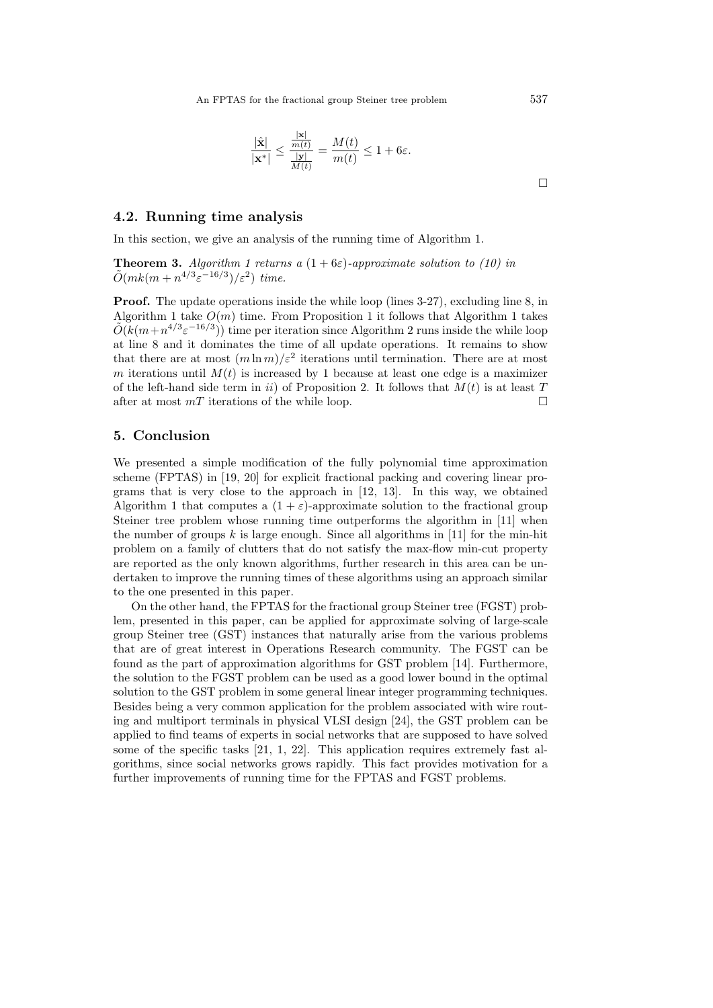$$
\frac{|\hat{\mathbf{x}}|}{|\mathbf{x}^*|} \le \frac{\frac{|\mathbf{x}|}{m(t)}}{\frac{|\mathbf{y}|}{M(t)}} = \frac{M(t)}{m(t)} \le 1 + 6\varepsilon.
$$

# **4.2. Running time analysis**

In this section, we give an analysis of the running time of Algorithm 1.

**Theorem 3.** *Algorithm 1 returns a*  $(1+6\varepsilon)$ -*approximate solution to (10) in*  $\tilde{O}(mk(m + n^{4/3}\varepsilon^{-16/3})/\varepsilon^2)$  *time.* 

**Proof.** The update operations inside the while loop (lines 3-27), excluding line 8, in Algorithm 1 take  $O(m)$  time. From Proposition 1 it follows that Algorithm 1 takes  $\tilde{O}(k(m+n^{4/3}\varepsilon^{-16/3}))$  time per iteration since Algorithm 2 runs inside the while loop at line 8 and it dominates the time of all update operations. It remains to show that there are at most  $(m \ln m)/\varepsilon^2$  iterations until termination. There are at most *m* iterations until  $M(t)$  is increased by 1 because at least one edge is a maximizer of the left-hand side term in *ii*) of Proposition 2. It follows that *M*(*t*) is at least *T* after at most  $mT$  iterations of the while loop.

#### **5. Conclusion**

We presented a simple modification of the fully polynomial time approximation scheme (FPTAS) in [19, 20] for explicit fractional packing and covering linear programs that is very close to the approach in [12, 13]. In this way, we obtained Algorithm 1 that computes a  $(1 + \varepsilon)$ -approximate solution to the fractional group Steiner tree problem whose running time outperforms the algorithm in [11] when the number of groups  $k$  is large enough. Since all algorithms in [11] for the min-hit problem on a family of clutters that do not satisfy the max-flow min-cut property are reported as the only known algorithms, further research in this area can be undertaken to improve the running times of these algorithms using an approach similar to the one presented in this paper.

On the other hand, the FPTAS for the fractional group Steiner tree (FGST) problem, presented in this paper, can be applied for approximate solving of large-scale group Steiner tree (GST) instances that naturally arise from the various problems that are of great interest in Operations Research community. The FGST can be found as the part of approximation algorithms for GST problem [14]. Furthermore, the solution to the FGST problem can be used as a good lower bound in the optimal solution to the GST problem in some general linear integer programming techniques. Besides being a very common application for the problem associated with wire routing and multiport terminals in physical VLSI design [24], the GST problem can be applied to find teams of experts in social networks that are supposed to have solved some of the specific tasks [21, 1, 22]. This application requires extremely fast algorithms, since social networks grows rapidly. This fact provides motivation for a further improvements of running time for the FPTAS and FGST problems.

 $\Box$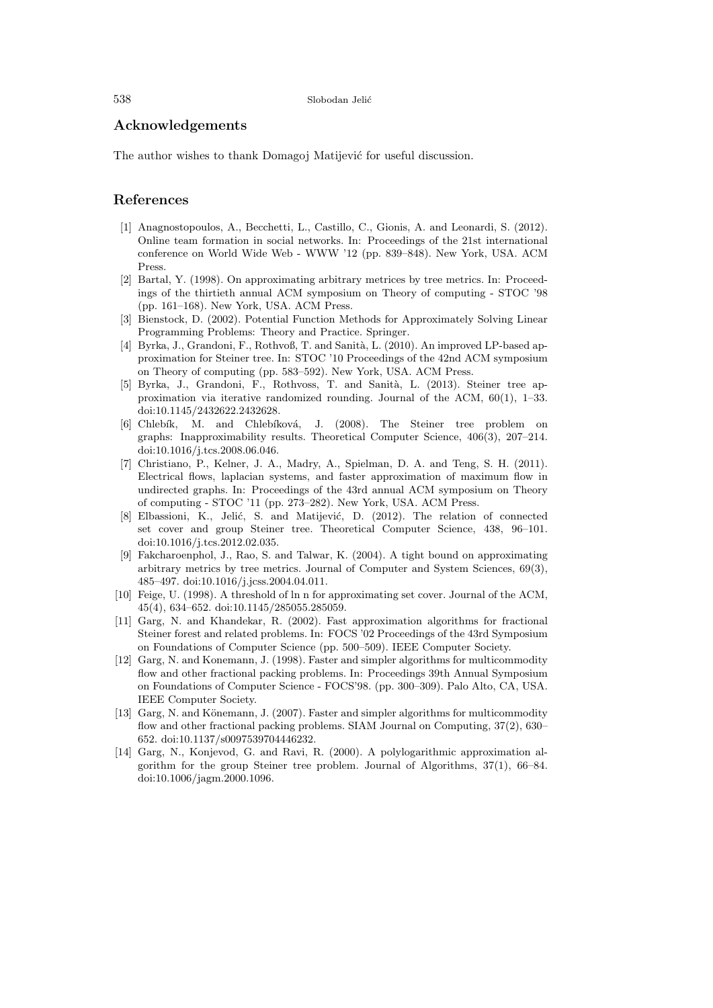# **Acknowledgements**

The author wishes to thank Domagoj Matijević for useful discussion.

#### **References**

- [1] Anagnostopoulos, A., Becchetti, L., Castillo, C., Gionis, A. and Leonardi, S. (2012). Online team formation in social networks. In: Proceedings of the 21st international conference on World Wide Web - WWW '12 (pp. 839–848). New York, USA. ACM Press.
- [2] Bartal, Y. (1998). On approximating arbitrary metrices by tree metrics. In: Proceedings of the thirtieth annual ACM symposium on Theory of computing - STOC '98 (pp. 161–168). New York, USA. ACM Press.
- [3] Bienstock, D. (2002). Potential Function Methods for Approximately Solving Linear Programming Problems: Theory and Practice. Springer.
- [4] Byrka, J., Grandoni, F., Rothvoß, T. and Sanità, L. (2010). An improved LP-based approximation for Steiner tree. In: STOC '10 Proceedings of the 42nd ACM symposium on Theory of computing (pp. 583–592). New York, USA. ACM Press.
- [5] Byrka, J., Grandoni, F., Rothvoss, T. and Sanità, L. (2013). Steiner tree approximation via iterative randomized rounding. Journal of the ACM, 60(1), 1–33. doi:10.1145/2432622.2432628.
- [6] Chlebík, M. and Chlebíková, J. (2008). The Steiner tree problem on graphs: Inapproximability results. Theoretical Computer Science, 406(3), 207–214. doi:10.1016/j.tcs.2008.06.046.
- [7] Christiano, P., Kelner, J. A., Madry, A., Spielman, D. A. and Teng, S. H. (2011). Electrical flows, laplacian systems, and faster approximation of maximum flow in undirected graphs. In: Proceedings of the 43rd annual ACM symposium on Theory of computing - STOC '11 (pp. 273–282). New York, USA. ACM Press.
- [8] Elbassioni, K., Jelić, S. and Matijević, D. (2012). The relation of connected set cover and group Steiner tree. Theoretical Computer Science, 438, 96–101. doi:10.1016/j.tcs.2012.02.035.
- [9] Fakcharoenphol, J., Rao, S. and Talwar, K. (2004). A tight bound on approximating arbitrary metrics by tree metrics. Journal of Computer and System Sciences, 69(3), 485–497. doi:10.1016/j.jcss.2004.04.011.
- [10] Feige, U. (1998). A threshold of ln n for approximating set cover. Journal of the ACM, 45(4), 634–652. doi:10.1145/285055.285059.
- [11] Garg, N. and Khandekar, R. (2002). Fast approximation algorithms for fractional Steiner forest and related problems. In: FOCS '02 Proceedings of the 43rd Symposium on Foundations of Computer Science (pp. 500–509). IEEE Computer Society.
- [12] Garg, N. and Konemann, J. (1998). Faster and simpler algorithms for multicommodity flow and other fractional packing problems. In: Proceedings 39th Annual Symposium on Foundations of Computer Science - FOCS'98. (pp. 300–309). Palo Alto, CA, USA. IEEE Computer Society.
- [13] Garg, N. and Könemann, J. (2007). Faster and simpler algorithms for multicommodity flow and other fractional packing problems. SIAM Journal on Computing, 37(2), 630– 652. doi:10.1137/s0097539704446232.
- [14] Garg, N., Konjevod, G. and Ravi, R. (2000). A polylogarithmic approximation algorithm for the group Steiner tree problem. Journal of Algorithms, 37(1), 66–84. doi:10.1006/jagm.2000.1096.